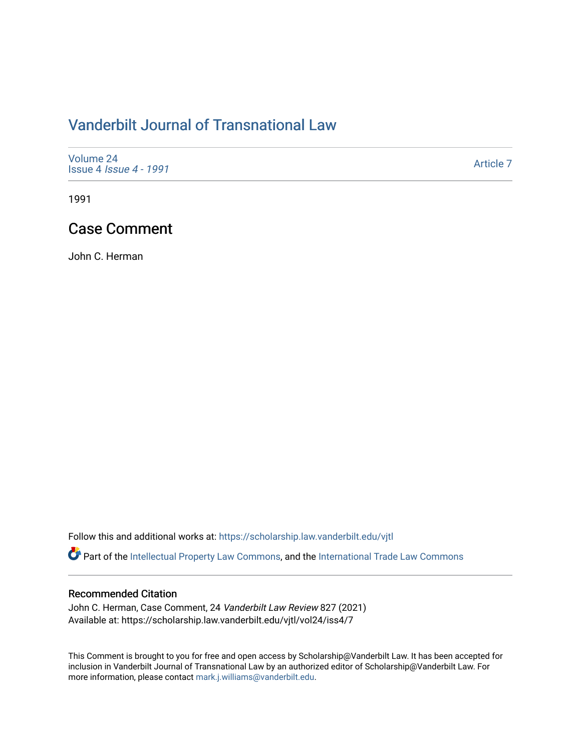## [Vanderbilt Journal of Transnational Law](https://scholarship.law.vanderbilt.edu/vjtl)

| Volume 24<br><b>Issue 4 Issue 4 - 1991</b> | Article 7 |
|--------------------------------------------|-----------|
|--------------------------------------------|-----------|

1991

### Case Comment

John C. Herman

Follow this and additional works at: [https://scholarship.law.vanderbilt.edu/vjtl](https://scholarship.law.vanderbilt.edu/vjtl?utm_source=scholarship.law.vanderbilt.edu%2Fvjtl%2Fvol24%2Fiss4%2F7&utm_medium=PDF&utm_campaign=PDFCoverPages) 

Part of the [Intellectual Property Law Commons,](http://network.bepress.com/hgg/discipline/896?utm_source=scholarship.law.vanderbilt.edu%2Fvjtl%2Fvol24%2Fiss4%2F7&utm_medium=PDF&utm_campaign=PDFCoverPages) and the International Trade Law Commons

#### Recommended Citation

John C. Herman, Case Comment, 24 Vanderbilt Law Review 827 (2021) Available at: https://scholarship.law.vanderbilt.edu/vjtl/vol24/iss4/7

This Comment is brought to you for free and open access by Scholarship@Vanderbilt Law. It has been accepted for inclusion in Vanderbilt Journal of Transnational Law by an authorized editor of Scholarship@Vanderbilt Law. For more information, please contact [mark.j.williams@vanderbilt.edu](mailto:mark.j.williams@vanderbilt.edu).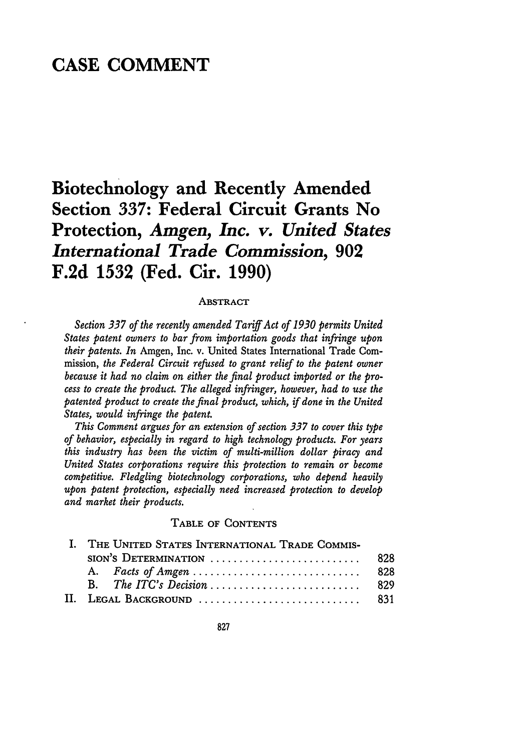## **CASE COMMENT**

# **Biotechnology and Recently Amended Section 337: Federal Circuit Grants No Protection,** *Amgen, Inc. v. United States International Trade Commission,* **902 F.2d 1532 (Fed. Cir. 1990)**

#### **ABSTRACT**

*Section 337 of the recently amended Tariff Act of 1930 permits United States patent owners to bar from importation goods that infringe upon their patents. In* Amgen, Inc. v. United States International Trade Commission, *the Federal Circuit refused to grant relief to the patent owner because it had no claim on either the final product imported or the process to create the product. The alleged infringer, however, had to use the patented product to create the final product, which, if done in the United States, would infringe the patent.*

*This Comment argues for an extension of section 337 to cover this type of behavior, especially in regard to high technology products. For years this industry has been the victim of multi-million dollar piracy and United States corporations require this protection to remain or become competitive. Fledgling biotechnology corporations, who depend heavily upon patent protection, especially need increased protection to develop and market their products.*

#### **TABLE OF CONTENTS**

| I. THE UNITED STATES INTERNATIONAL TRADE COMMIS- |      |
|--------------------------------------------------|------|
| SION'S DETERMINATION                             | -828 |
|                                                  | -828 |
|                                                  | -829 |
| II. Legal Background  831                        |      |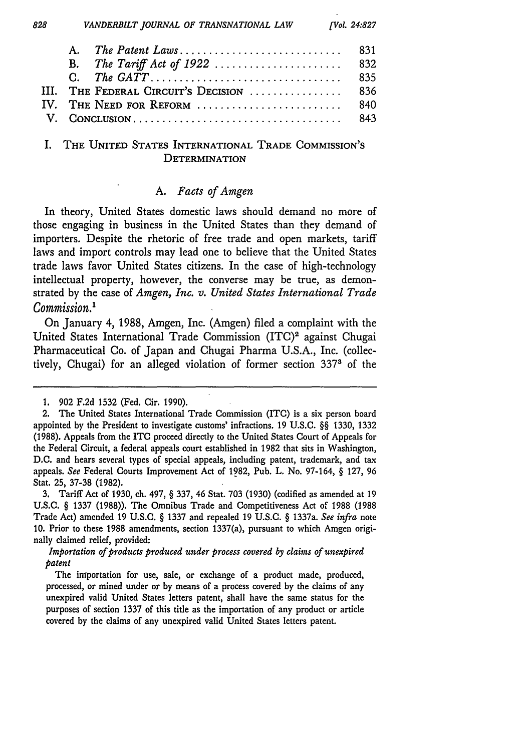| 828      | VANDERBILT JOURNAL OF TRANSNATIONAL LAW | <b>[Vol. 24:827</b> |
|----------|-----------------------------------------|---------------------|
|          | A.                                      |                     |
|          |                                         | 832                 |
|          |                                         | 835                 |
|          | THE FEDERAL CIRCUIT'S DECISION          | 836                 |
| $IV_{-}$ | THE NEED FOR REFORM                     | 840                 |
|          |                                         | 843                 |

#### I. **THE** UNITED **STATES INTERNATIONAL** TRADE COMMISSION'S **DETERMINATION**

#### *A. Facts of Amgen*

In theory, United States domestic laws should demand no more of those engaging in business in the United States than they demand of importers. Despite the rhetoric of free trade and open markets, tariff laws and import controls may lead one to believe that the United States trade laws favor United States citizens. In the case of high-technology intellectual property, however, the converse may be true, as demonstrated by the case of *Amgen, Inc. v. United States International Trade Commission.'*

On January 4, 1988, Amgen, Inc. (Amgen) filed a complaint with the United States International Trade Commission (ITC)<sup>2</sup> against Chugai Pharmaceutical Co. of Japan and Chugai Pharma U.S.A., Inc. (collectively, Chugai) for an alleged violation of former section 3373 of the

3. Tariff Act of 1930, ch. 497, § 337, 46 Stat. 703 (1930) (codified as amended at 19 U,S.C. § 1337 (1988)). The Omnibus Trade and Competitiveness Act of 1988 (1988 Trade Act) amended 19 U.S.C. § 1337 and repealed 19 U.S.C. § 1337a. *See infra* note 10. Prior to these 1988 amendments, section 1337(a), pursuant to which Amgen originally claimed relief, provided:

*Importation of products produced under process covered by claims of unexpired patent*

The importation for use, sale, or exchange of a product made, produced, processed, or mined under or by means of a process covered by the claims of any unexpired valid United States letters patent, shall have the same status for the purposes of section 1337 of this title as the importation of any product or article covered by the claims of any unexpired valid United States letters patent.

<sup>1. 902</sup> F.2d 1532 (Fed. Cir. 1990).

<sup>2.</sup> The United States International Trade Commission (ITC) is a six person board appointed by the President to investigate customs' infractions. 19 U.S.C. *§§* 1330, 1332 (1988). Appeals from the ITC proceed directly to the United States Court of Appeals for the Federal Circuit, a federal appeals court established in 1982 that sits in Washington, D.C. and hears several types of special appeals, including patent, trademark, and tax appeals. *See* Federal Courts Improvement Act of 1982, Pub. L. No. 97-164, § 127, 96 Stat. 25, 37-38 (1982).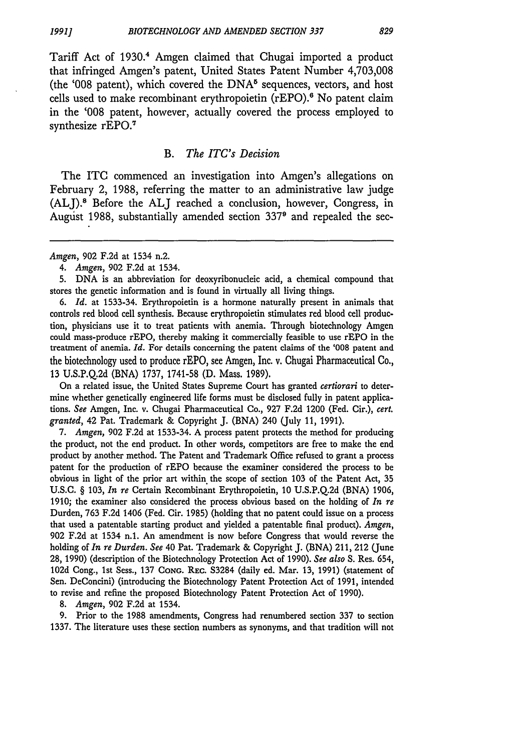Tariff Act of 1930.4 Amgen claimed that Chugai imported a product that infringed Amgen's patent, United States Patent Number 4,703,008 (the '008 patent), which covered the  $DNA^5$  sequences, vectors, and host cells used to make recombinant erythropoietin (rEPO).6 No patent claim in the '008 patent, however, actually covered the process employed to synthesize rEPO.<sup>7</sup>

#### *B. The ITC's Decision*

The ITC commenced an investigation into Amgen's allegations on February 2, 1988, referring the matter to an administrative law judge (ALJ). Before the **ALJ** reached a conclusion, however, Congress, in Augist 1988, substantially amended section 3379 and repealed the sec-

5. DNA is an abbreviation for deoxyribonucleic acid, a chemical compound that stores the genetic information and is found in virtually all living things.

6. *Id.* at 1533-34. Erythropoietin is a hormone naturally present in animals that controls red blood cell synthesis. Because erythropoietin stimulates red blood cell production, physicians use it to treat patients with anemia. Through biotechnology Amgen could mass-produce rEPO, thereby making it commercially feasible to use rEPO in the treatment of anemia. *Id.* For details concerning the patent claims of the '008 patent and the biotechnology used to produce rEPO, see Amgen, Inc. v. Chugai Pharmaceutical Co., 13 U.S.P.Q.2d (BNA) 1737, 1741-58 (D. Mass. 1989).

On a related issue, the United States Supreme Court has granted *certiorari* to determine whether genetically engineered life forms must be disclosed fully in patent applications. *See* Amgen, Inc. v. Chugai Pharmaceutical Co., 927 F.2d 1200 (Fed. Cir.), *cert. granted,* 42 Pat. Trademark & Copyright J. (BNA) 240 (July 11, 1991).

7. *Amgen,* 902 F.2d at 1533-34. A process patent protects the method for producing the product, not the end product. In other words, competitors are free to make the end product by another method. The Patent and Trademark Office refused to grant a process patent for the production of rEPO because the examiner considered the process to be obvious in light of the prior art within the scope of section 103 of the Patent Act, 35 U.S.C. § 103, *In re* Certain Recombinant Erythropoietin, 10 U.S.P.Q.2d (BNA) 1906, 1910; the examiner also considered the process obvious based on the holding of *In re* Durden, 763 F.2d 1406 (Fed. Cir. 1985) (holding that no patent could issue on a process that used a patentable starting product and yielded a patentable final product). *Amgen,* 902 F.2d at 1534 n.1. An amendment is now before Congress that would reverse the holding of *In re Durden. See* 40 Pat. Trademark & Copyright J. (BNA) 211, 212 (June 28, 1990) (description of the Biotechnology Protection Act of 1990). *See also* S. Res. 654, 102d Cong., 1st Sess., 137 **CONG.** REc. 53284 (daily ed. Mar. 13, 1991) (statement of Sen. DeConcini) (introducing the Biotechnology Patent Protection Act of 1991, intended to revise and refine the proposed Biotechnology Patent Protection Act of 1990).

8. *Amgen,* 902 F.2d at 1534.

**9.** Prior to the 1988 amendments, Congress had renumbered section 337 to section 1337. The literature uses these section numbers as synonyms, and that tradition will not

*Amgen,* 902 F.2d at 1534 n.2.

<sup>4.</sup> *Amgen,* 902 F.2d at 1534.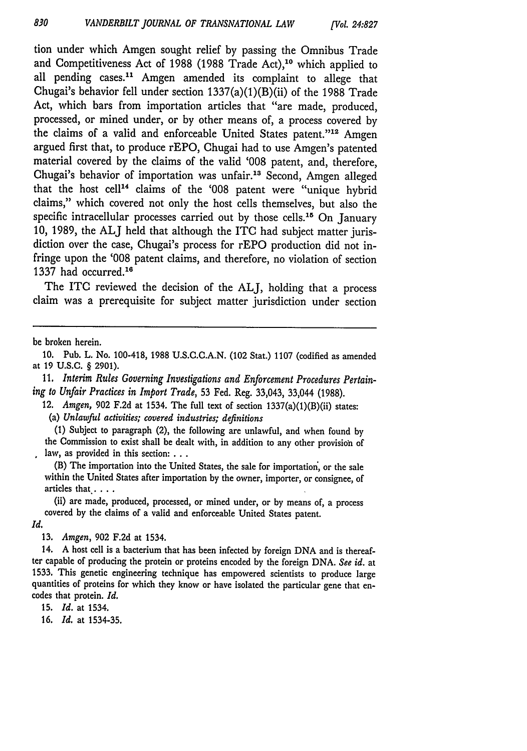tion under which Amgen sought relief by passing the Omnibus Trade and Competitiveness Act of 1988 (1988 Trade Act),10 which applied to all pending cases." Amgen amended its complaint to allege that Chugai's behavior fell under section  $1337(a)(1)(B)(ii)$  of the 1988 Trade Act, which bars from importation articles that "are made, produced, processed, or mined under, or by other means of, a process covered by the claims of a valid and enforceable United States patent."<sup>12</sup> Amgen argued first that, to produce rEPO, Chugai had to use Amgen's patented material covered by the claims of the valid '008 patent, and, therefore, Chugai's behavior of importation was unfair.13 Second, Amgen alleged that the host cell<sup>14</sup> claims of the '008 patent were "unique hybrid claims," which covered not only the host cells themselves, but also the specific intracellular processes carried out by those cells.<sup>15</sup> On January 10, 1989, the **ALJ** held that although the ITC had subject matter jurisdiction over the case, Chugai's process for rEPO production did not infringe upon the '008 patent claims, and therefore, no violation of section 1337 had occurred. $16$ 

The **ITC** reviewed the decision of the **ALJ,** holding that a process claim was a prerequisite for subject matter jurisdiction under section

be broken herein.

10. Pub. L. No. 100-418, 1988 U.S.C.C.A.N. (102 Stat.) 1107 (codified as amended at 19 U.S.C. § 2901).

11. *Interim Rules Governing Investigations and Enforcement Procedures Pertaining to Unfair Practices in Import Trade,* 53 Fed. Reg. 33,043, 33,044 (1988).

12. *Amgen,* 902 F.2d at 1534. The full text of section 1337(a)(1)(B)(ii) states: (a) *Unlawful activities; covered industries; definitions*

(1) Subject to paragraph (2), the following are unlawful, and when found by the Commission to exist shall be dealt with, in addition to any other provision of law, as provided in this section:...

(B) The importation into the United States, the sale for importation', or the sale within the United States after importation by the owner, importer, or consignee, of articles that . . . .

(ii) are made, produced, processed, or mined under, or **by** means of, a process covered by the claims of a valid and enforceable United States patent.

*Id.*

13. *Amgen,* 902 F.2d at 1534.

14. A host cell is a bacterium that has been infected by foreign DNA and is thereafter capable of producing the protein or proteins encoded by the foreign DNA. *See id.* at 1533. This genetic engineering technique has empowered scientists to produce large quantities of proteins for which they know or have isolated the particular gene that encodes that protein. *Id.*

15. *Id.* at 1534.

16. *Id.* at 1534-35.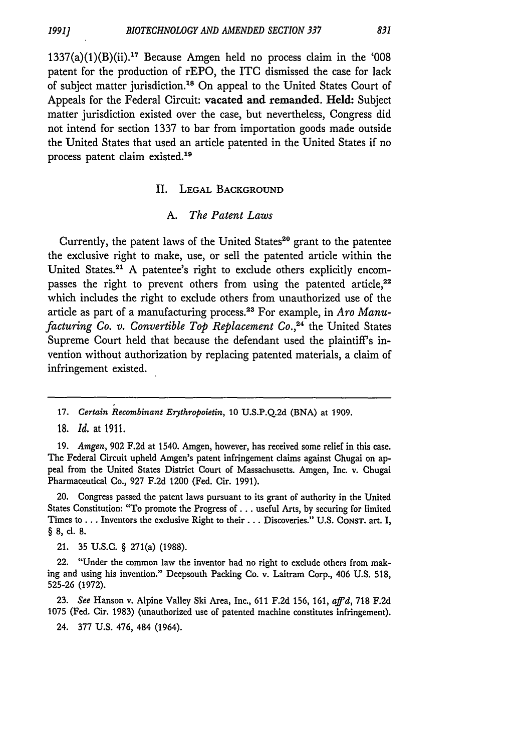$1337(a)(1)(B)(ii).$ <sup>17</sup> Because Amgen held no process claim in the '008 patent for the production of rEPO, the ITC dismissed the case for lack of subject matter jurisdiction.<sup>18</sup> On appeal to the United States Court of Appeals for the Federal Circuit: vacated and remanded. Held: Subject matter jurisdiction existed over the case, but nevertheless, Congress did not intend for section 1337 to bar from importation goods made outside the United States that used an article patented in the United States if no process patent claim existed.<sup>19</sup>

#### **II.** LEGAL BACKGROUND

#### *A. The Patent Laws*

Currently, the patent laws of the United States<sup>20</sup> grant to the patentee the exclusive right to make, use, or sell the patented article within the United States.<sup>21</sup> A patentee's right to exclude others explicitly encompasses the right to prevent others from using the patented article, $22$ which includes the right to exclude others from unauthorized use of the article as part of a manufacturing process.23 For example, in *Aro Manufacturing Co. v. Convertible Top Replacement Co.,<sup>24</sup> the United States* Supreme Court held that because the defendant used the plaintiff's invention without authorization by replacing patented materials, a claim of infringement existed.

19. *Amgen,* 902 F.2d at 1540. Amgen, however, has received some relief in this case. The Federal Circuit upheld Amgen's patent infringement claims against Chugai on appeal from the United States District Court of Massachusetts. Amgen, Inc. v. Chugai Pharmaceutical Co., 927 F.2d 1200 (Fed. Cir. 1991).

20. Congress passed the patent laws pursuant to its grant of authority in the United States Constitution: "To promote the Progress of **...** useful Arts, by securing for limited Times to ... Inventors the exclusive Right to their *...* Discoveries." U.S. CONST. art. I, **§ 8, cl. 8.**

21. 35 U.S.C. § 271(a) (1988).

22. "Under the common law the inventor had no right to exclude others from making and using his invention." Deepsouth Packing Co. v. Laitram Corp., 406 U.S. 518, 525-26 (1972).

23. *See* Hanson v. Alpine Valley Ski Area, Inc., 611 F.2d 156, 161, *affd,* 718 F.2d 1075 (Fed. Cir. 1983) (unauthorized use of patented machine constitutes infringement).

24. 377 U.S. 476, 484 (1964).

<sup>17.</sup> *Certain Recombinant Erythropoietin,* 10 U.S.P.Q.2d (BNA) at 1909.

**<sup>18.</sup>** *Id.* at **1911.**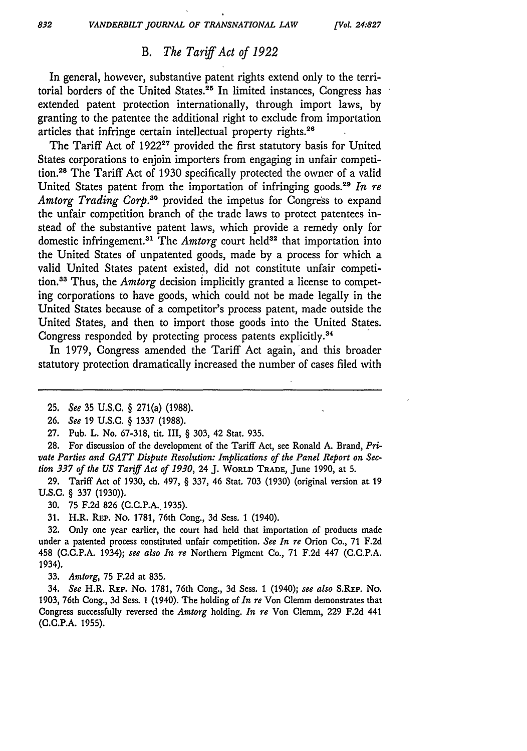### *B. The Tariff Act of 1922*

In general, however, substantive patent rights extend only to the territorial borders of the United States.<sup>25</sup> In limited instances, Congress has extended patent protection internationally, through import laws, by granting to the patentee the additional right to exclude from importation articles that infringe certain intellectual property rights.<sup>26</sup>

The Tariff Act of 1922<sup>27</sup> provided the first statutory basis for United States corporations to enjoin importers from engaging in unfair competition.<sup>28</sup> The Tariff Act of 1930 specifically protected the owner of a valid United States patent from the importation of infringing goods.<sup>29</sup> In re *Amtorg Trading Corp.30* provided the impetus for Congress to expand the unfair competition branch of the trade laws to protect patentees instead of the substantive patent laws, which provide a remedy only for domestic infringement.<sup>31</sup> The *Amtorg* court held<sup>32</sup> that importation into the United States of unpatented goods, made by a process for which a valid United States patent existed, did not constitute unfair competition.<sup>33</sup> Thus, the *Amtorg* decision implicitly granted a license to competing corporations to have goods, which could not be made legally in the United States because of a competitor's process patent, made outside the United States, and then to import those goods into the United States. Congress responded by protecting process patents explicitly.34

In 1979, Congress amended the Tariff Act again, and this broader statutory protection dramatically increased the number of cases filed with

27. Pub. L. No. 67-318, tit. III, § 303, 42 Stat. 935.

28. For discussion of the development of the Tariff Act, see Ronald A. Brand, *Private Parties and GATT Dispute Resolution: Implications of the Panel Report on Section 337 of the US Tariff Act of 1930,* 24 J. **WORLD TRADE,** June 1990, at 5.

29. Tariff Act of 1930, ch. 497, § 337, 46 Stat. 703 (1930) (original version at 19 U.S.C. § 337 (1930)).

30. 75 F.2d 826 (C.C.P.A. 1935).

31. H.R. **REP.** No. 1781, 76th Cong., 3d Sess. 1 (1940).

32. Only one year earlier, the court had held that importation *of* products made under a patented process constituted unfair competition. *See In re* Orion Co., 71 F.2d 458 (C.C.P.A. 1934); *see also In re* Northern Pigment Co., 71 F.2d 447 (C.C.P.A. 1934).

**33.** *Amtorg,* 75 F.2d at 835.

34. *See* H.R. REP. No. 1781, 76th Cong., 3d Sess. 1 (1940); *see also* S.REP. No. 1903, 76th Cong., 3d Sess. 1 (1940). The holding of *In re* Von Clemm demonstrates that Congress successfully reversed the *Amtorg* holding. *In re* Von Clemm, 229 F.2d 441 (C.C.P.A. 1955).

<sup>25.</sup> *See* 35 U.S.C. § 271(a) (1988).

<sup>26.</sup> *See* 19 U.S.C. § 1337 (1988).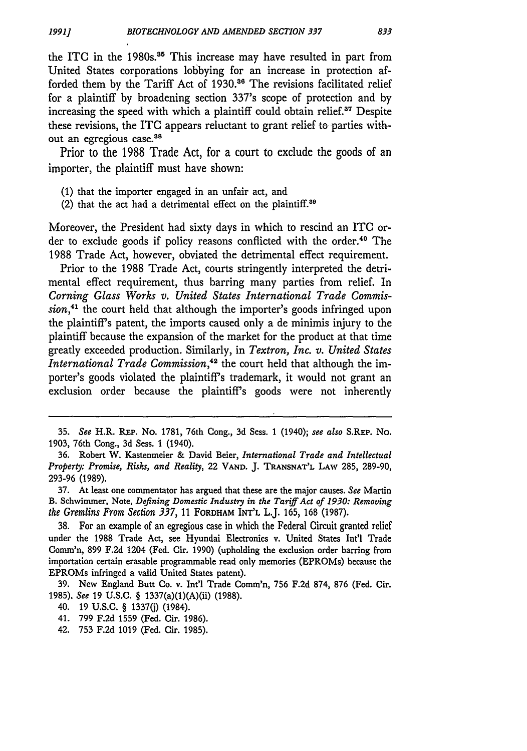the ITC in the 1980s.<sup>35</sup> This increase may have resulted in part from United States corporations lobbying for an increase in protection afforded them by the Tariff Act of 1930.<sup>36</sup> The revisions facilitated relief for a plaintiff by broadening section 337's scope of protection and by increasing the speed with which a plaintiff could obtain relief.<sup>37</sup> Despite these revisions, the **ITC** appears reluctant to grant relief to parties without an egregious case.<sup>38</sup>

Prior to the 1988 Trade Act, for a court to exclude the goods of an importer, the plaintiff must have shown:

- (1) that the importer engaged in an unfair act, and
- (2) that the act had a detrimental effect on the plaintiff.<sup>39</sup>

Moreover, the President had sixty days in which to rescind an ITC order to exclude goods if policy reasons conflicted with the order.<sup>40</sup> The 1988 Trade Act, however, obviated the detrimental effect requirement.

Prior to the 1988 Trade Act, courts stringently interpreted the detrimental effect requirement, thus barring many parties from relief. In *Corning Glass Works v. United States International Trade Commission,4'* the court held that although the importer's goods infringed upon the plaintiff's patent, the imports caused only a de minimis injury to the plaintiff because the expansion of the market for the product at that time greatly exceeded production. Similarly, in *Textron, Inc. v. United States International Trade Commission*,<sup>42</sup> the court held that although the importer's goods violated the plaintiff's trademark, it would not grant an exclusion order because the plaintiff's goods were not inherently

38. For an example of an egregious case in which the Federal Circuit granted relief under the 1988 Trade Act, see Hyundai Electronics v. United States Int'l Trade Comm'n, 899 F.2d 1204 (Fed. Cir. 1990) (upholding the exclusion order barring from importation certain erasable programmable read only memories (EPROMs) because the EPROMs infringed a valid United States patent).

39. New England Butt Co. v. Int'l Trade Comm'n, 756 F.2d 874, 876 (Fed. Cir. 1985). *See* 19 U.S.C. § 1337(a)(1)(A)(ii) (1988).

40. 19 U.S.C. § 1337(j) (1984).

41. 799 F.2d 1559 (Fed. Cir. 1986).

42. 753 F.2d 1019 (Fed. Cir. 1985).

**<sup>35.</sup>** *See* H.R. REp. No. **1781,** 76th Cong., 3d Sess. 1 (1940); *see also* S.REP. No. 1903, 76th Cong., 3d Sess. 1 (1940).

<sup>36.</sup> Robert W. Kastenmeier & David Beier, *International Trade and Intellectual Property: Promise, Risks, and Reality,* 22 **VAND.** J. **TRANSNAT'L** LAw 285, 289-90, 293-96 (1989).

**<sup>37.</sup>** At least one commentator has argued that these are the major causes. *See* Martin B. Schwimmer, Note, *Defining Domestic Industry in the Tariff Act of 1930: Removing the Gremlins From Section 337,* 11 FORDHAM INT'L L.J. 165, 168 (1987).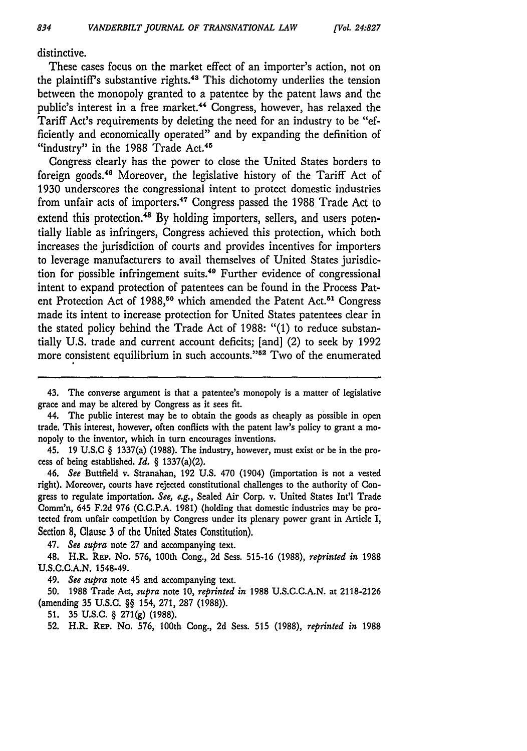distinctive.

These cases focus on the market effect of an importer's action, not on the plaintiff's substantive rights.43 This dichotomy underlies the tension between the monopoly granted to a patentee by the patent laws and the public's interest in a free market.<sup>44</sup> Congress, however, has relaxed the Tariff Act's requirements by deleting the need for an industry to be "efficiently and economically operated" and by expanding the definition of "industry" in the 1988 Trade Act.<sup>45</sup>

Congress clearly has the power to close the United States borders to foreign goods.46 Moreover, the legislative history of the Tariff Act of **1930** underscores the congressional intent to protect domestic industries from unfair acts of importers.47 Congress passed the **1988** Trade Act to extend this protection.<sup>48</sup> By holding importers, sellers, and users potentially liable as infringers, Congress achieved this protection, which both increases the jurisdiction of courts and provides incentives for importers to leverage manufacturers to avail themselves of United States jurisdiction for possible infringement suits. 49 Further evidence of congressional intent to expand protection of patentees can be found in the Process Patent Protection Act of 1988,<sup>50</sup> which amended the Patent Act.<sup>51</sup> Congress made its intent to increase protection for United States patentees clear in the stated policy behind the Trade Act of **1988:** "(1) to reduce substantially **U.S.** trade and current account deficits; [and] (2) to seek **by 1992** more consistent equilibrium in such accounts."<sup>52</sup> Two of the enumerated

47. *See supra* note **27** and accompanying text.

48. H.R. **REP.** No. **576,** 100th Cong., **2d** Sess. **515-16 (1988),** *reprinted in* **1988 U.S.C.C.A.N.** 1548-49.

*49. See supra* note 45 and accompanying text.

**50. 1988** Trade Act, *supra* note **10,** *reprinted in* **1988 U.S.C.C.A.N.** at **2118-2126** (amending **35 U.S.C.** §§ 154, **271, 287 (1988)).**

**51. 35 U.S.C.** § **<sup>2</sup> <sup>7</sup> 1(g) (1988).**

**52.** H.R. **REP.** No. **576,** 100th Cong., **2d** Sess. **515 (1988),** *reprinted in* **1988**

<sup>43.</sup> The converse argument is that a patentee's monopoly is a matter of legislative grace and may be altered by Congress as it sees fit.

<sup>44.</sup> The public interest may be to obtain the goods as cheaply as possible in open trade. This interest, however, often conflicts with the patent law's policy to grant a monopoly to the inventor, which in turn encourages inventions.

<sup>45.</sup> **19 U.S.C** § 1337(a) **(1988).** The industry, however, must exist or be in the process of being established. *Id.* § 1337(a)(2).

*<sup>46.</sup> See* Buttfield v. Stranahan, **192 U.S.** 470 (1904) (importation is not a vested right). Moreover, courts have rejected constitutional challenges to the authority of Congress to regulate importation. *See, e.g.,* Sealed Air Corp. v. United States Int'l Trade Comm'n, 645 **F.2d 976 (C.C.P.A. 1981)** (holding that domestic industries may be protected from unfair competition **by** Congress under its plenary power grant in Article I, Section **8,** Clause **3** of the United States Constitution).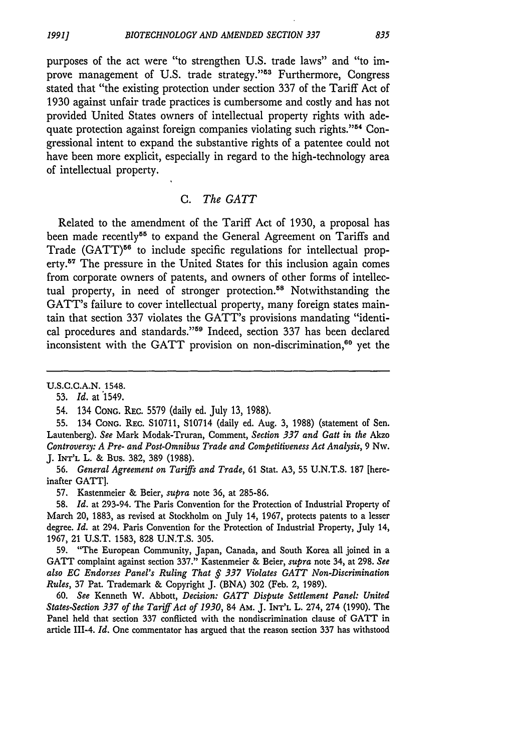purposes of the act were "to strengthen U.S. trade laws" and "to improve management of U.S. trade strategy."<sup>53</sup> Furthermore, Congress stated that "the existing protection under section 337 of the Tariff Act of 1930 against unfair trade practices is cumbersome and costly and has not provided United States owners of intellectual property rights with adequate protection against foreign companies violating such rights."<sup>54</sup> Congressional intent to expand the substantive rights of a patentee could not have been more explicit, especially in regard to the high-technology area of intellectual property.

#### *C. The GATT*

Related to the amendment of the Tariff Act of 1930, a proposal has been made recently<sup>55</sup> to expand the General Agreement on Tariffs and Trade (GATT)<sup>56</sup> to include specific regulations for intellectual property.<sup>57</sup> The pressure in the United States for this inclusion again comes from corporate owners of patents, and owners of other forms of intellectual property, in need of stronger protection.<sup>58</sup> Notwithstanding the GATT's failure to cover intellectual property, many foreign states maintain that section 337 violates the GATT's provisions mandating "identical procedures and standards."59 Indeed, section 337 has been declared inconsistent with the GATT provision on non-discrimination, $60$  yet the

60. *See* Kenneth W. Abbott, *Decision: GATT Dispute Settlement Panel: United States-Section 337 of the Tariff Act of 1930,* 84 AM. J. **INT'L** L. 274, 274 (1990). The Panel held that section 337 conflicted with the nondiscrimination clause of GATT in article 111-4. *Id.* One commentator has argued that the reason section 337 has withstood

U.S.C.C.A.N. 1548.

<sup>53.</sup> *Id.* at 1549.

<sup>54. 134</sup> CONG. REc. 5579 (daily ed. July 13, 1988).

<sup>55. 134</sup> **CONG.** REc. S10711, S10714 (daily ed. Aug. 3, 1988) (statement of Sen. Lautenberg). *See* Mark Modak-Truran, Comment, *Section 337 and Gatt in the* Akzo *Controversy: A Pre- and Post-Omnibus Trade and Competitiveness Act Analysis,* 9 Nw. J. INT'L L. & Bus. 382, 389 (1988).

<sup>56.</sup> *General Agreement on Tariffs and Trade,* 61 Stat. A3, 55 U.N.T.S. 187 [hereinafter GATT].

<sup>57.</sup> Kastenmeier & Beier, *supra* note 36, at 285-86.

<sup>58.</sup> *Id.* at 293-94. The Paris Convention for the Protection of Industrial Property of March 20, 1883, as revised at Stockholm on July 14, 1967, protects patents to a lesser degree. *Id.* at 294. Paris Convention for the Protection of Industrial Property, July 14, 1967, 21 U.S.T. 1583, 828 U.N.T.S. 305.

<sup>59. &</sup>quot;The European Community, Japan, Canada, and South Korea all joined in a GATT complaint against section 337." Kastenmeier & Beier, *supra* note 34, at 298. *See also EC Endorses Panel's Ruling That § 337 Violates GATT Non-Discrimination Rules,* 37 Pat. Trademark & Copyright J. (BNA) 302 (Feb. 2, 1989).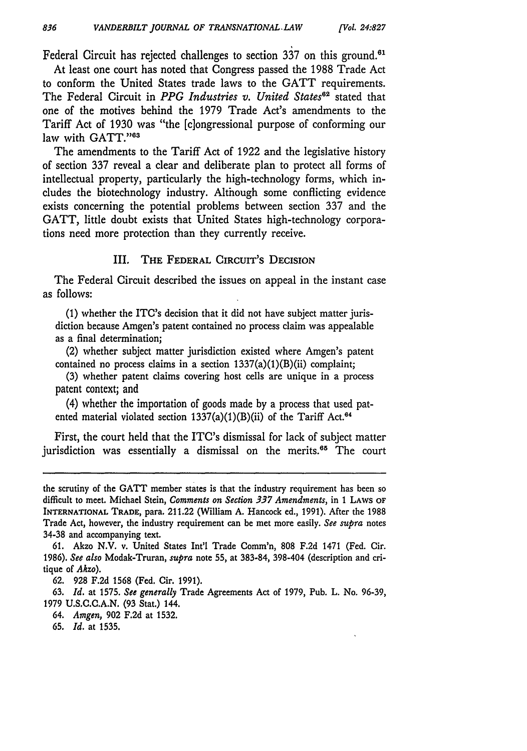Federal Circuit has rejected challenges to section  $337$  on this ground.<sup>61</sup>

At least one court has noted that Congress passed the 1988 Trade Act to conform the United States trade laws to the GATT requirements. The Federal Circuit in *PPG Industries v. United States*<sup>62</sup> stated that one of the motives behind the 1979 Trade Act's amendments to the Tariff Act of 1930 was "the [c]ongressional purpose of conforming our law with GATT."63

The amendments to the Tariff Act of 1922 and the legislative history of section 337 reveal a clear and deliberate plan to protect all forms of intellectual property, particularly the high-technology forms, which includes the biotechnology industry. Although some conflicting evidence exists concerning the potential problems between section 337 and the GATT, little doubt exists that United States high-technology corporations need more protection than they currently receive.

#### III. **THE FEDERAL CIRCUIT'S** DECISION

The Federal Circuit described the issues on appeal in the instant case as follows:

(1) whether the ITC's decision that it did not have subject matter jurisdiction because Amgen's patent contained no process claim was appealable as a final determination;

(2) whether subject matter jurisdiction existed where Amgen's patent contained no process claims in a section 1337(a)(1)(B)(ii) complaint;

(3) whether patent claims covering host cells are unique in a process patent context; and

(4) whether the importation of goods made by a process that used patented material violated section  $1337(a)(1)(B)(ii)$  of the Tariff Act.<sup>64</sup>

First, the court held that the ITC's dismissal for lack of subject matter jurisdiction was essentially a dismissal on the merits.<sup>65</sup> The court

- 64. *Amgen,* **902 F.2d** at **1532.**
- 65. *Id.* at 1535.

the scrutiny of the GATT member states is that the industry requirement has been so difficult to meet. Michael Stein, *Comments on Section 337 Amendments,* in 1 **LAWS OF** INTERNATIONAL TRADE, para. 211.22 (William A. Hancock ed., 1991). After the 1988 Trade Act, however, the industry requirement can be met more easily. *See supra* notes 34-38 and accompanying text.

<sup>61.</sup> Akzo **N.V.** v. United States Int'l Trade Comm'n, 808 F.2d 1471 (Fed. Cir. 1986). *See also* Modak-Truran, *supra* note **55,** at 383-84, 398-404 (description and critique of *Akzo).*

<sup>62. 928</sup> F.2d 1568 (Fed. Cir. 1991).

<sup>63.</sup> *Id.* at 1575. *See generally* Trade Agreements Act of 1979, Pub. L. No. 96-39, **1979 U.S.C.C.A.N. (93** Stat.) 144.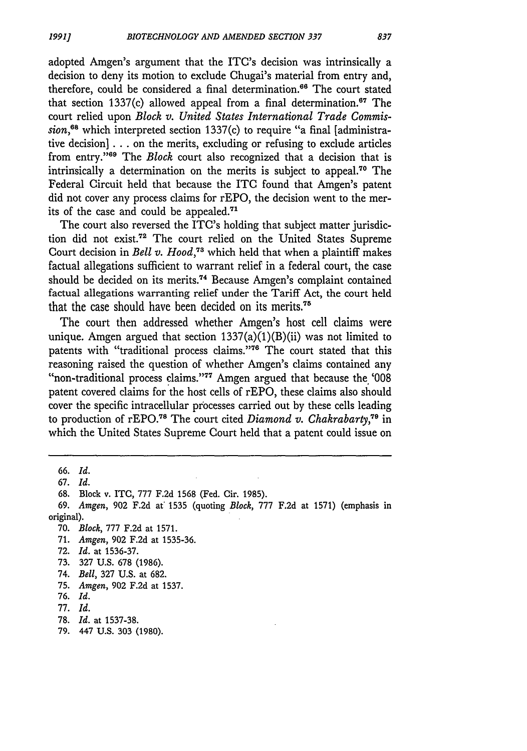adopted Amgen's argument that the ITC's decision was intrinsically a decision to deny its motion to exclude Chugai's material from entry and, therefore, could be considered a final determination.<sup>66</sup> The court stated that section 1337(c) allowed appeal from a final determination.<sup>67</sup> The court relied upon *Block v. United States International Trade Commission, <sup>8</sup>*which interpreted section 1337(c) to require "a final [administrative decision] **...** on the merits, excluding or refusing to exclude articles from entry."<sup>69</sup> The *Block* court also recognized that a decision that is intrinsically a determination on the merits is subject to appeal.70 The Federal Circuit held that because the **ITC** found that Amgen's patent did not cover any process claims for rEPO, the decision went to the merits of the case and could be appealed.<sup>71</sup>

The court also reversed the ITC's holding that subject matter jurisdiction did not exist.<sup>72</sup> The court relied on the United States Supreme Court decision in *Bell v. Hood*,<sup>73</sup> which held that when a plaintiff makes factual allegations sufficient to warrant relief in a federal court, the case should be decided on its merits.<sup>74</sup> Because Amgen's complaint contained factual allegations warranting relief under the Tariff Act, the court held that the case should have been decided on its merits.<sup>75</sup>

The court then addressed whether Amgen's host cell claims were unique. Amgen argued that section  $1337(a)(1)(B)(ii)$  was not limited to patents with "traditional process claims."76 The court stated that this reasoning raised the question of whether Amgen's claims contained any "non-traditional process claims."77 Amgen argued that because the '008 patent covered claims for the host cells of rEPO, these claims also should cover the specific intracellular processes carried out by these cells leading to production of rEPO.78 The court cited *Diamond v. Chakrabarty,9* in which the United States Supreme Court held that a patent could issue on

67. *Id.*

- 71. *Amgen,* **902** F.2d at 1535-36.
- 72. *Id.* at 1536-37.
- 73. 327 U.S. 678 (1986).
- 74. *Bell,* 327 U.S. at 682.
- 75. *Amgen,* 902 F.2d at 1537.
- 76. *Id.*
- 77. *Id.*
- 78. *Id.* at 1537-38.
- 79. 447 U.S. **303** (1980).

<sup>66.</sup> *Id.*

<sup>68.</sup> Block v. ITO, 777 F.2d 1568 (Fed. Cir. 1985).

<sup>69.</sup> *Amgen,* 902 F.2d at' 1535 (quoting *Block,* 777 F,2d at 1571) (emphasis in original).

**<sup>70.</sup>** *Block,* 777 F.2d at 1571.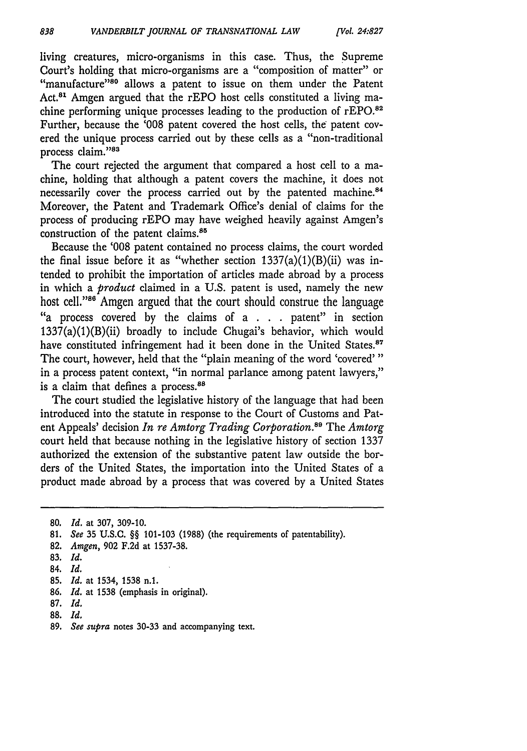living creatures, micro-organisms in this case. Thus, the Supreme Court's holding that micro-organisms are a "composition of matter" or "manufacture"<sup>80</sup> allows a patent to issue on them under the Patent Act.<sup>81</sup> Amgen argued that the rEPO host cells constituted a living machine performing unique processes leading to the production of  $rEPO.<sup>82</sup>$ Further, because the '008 patent covered the host cells, the patent covered the unique process carried out by these cells as a "non-traditional process claim."83

The court rejected the argument that compared a host cell to a machine, holding that although a patent covers the machine, it does not necessarily cover the process carried out by the patented machine.<sup>84</sup> Moreover, the Patent and Trademark Office's denial of claims for the process of producing rEPO may have weighed heavily against Amgen's construction of the patent claims.<sup>85</sup>

Because the '008 patent contained no process claims, the court worded the final issue before it as "whether section  $1337(a)(1)(B)(ii)$  was intended to prohibit the importation of articles made abroad by a process in which a *product* claimed in a U.S. patent is used, namely the new host cell."<sup>86</sup> Amgen argued that the court should construe the language "a process covered by the claims of a **. . .** patent" in section 1337(a)(1)(B)(ii) broadly to include Chugai's behavior, which would have constituted infringement had it been done in the United States.<sup>87</sup> The court, however, held that the "plain meaning of the word 'covered' **"** in a process patent context, "in normal parlance among patent lawyers," is a claim that defines a process.<sup>88</sup>

The court studied the legislative history of the language that had been introduced into the statute in response to the Court of Customs and Patent Appeals' decision *In re Amtorg Trading Corporation."'* The *Amtorg* court held that because nothing in the legislative history of section 1337 authorized the extension of the substantive patent law outside the borders of the United States, the importation into the United States of a product made abroad by a process that was covered by a United States

- 83. *Id.*
- 84. *Id.*
- 85. *Id.* at 1534, 1538 n.1.
- 86. *Id.* at 1538 (emphasis in original).
- 87. *Id.*
- **88.** *Id.*
- 89. *See supra* notes 30-33 and accompanying text.

<sup>80.</sup> *Id.* at 307, 309-10.

**<sup>81.</sup>** *See* 35 U.S.C. §§ 101-103 (1988) (the requirements of patentability).

<sup>82.</sup> *Amgen,* 902 F.2d at 1537-38.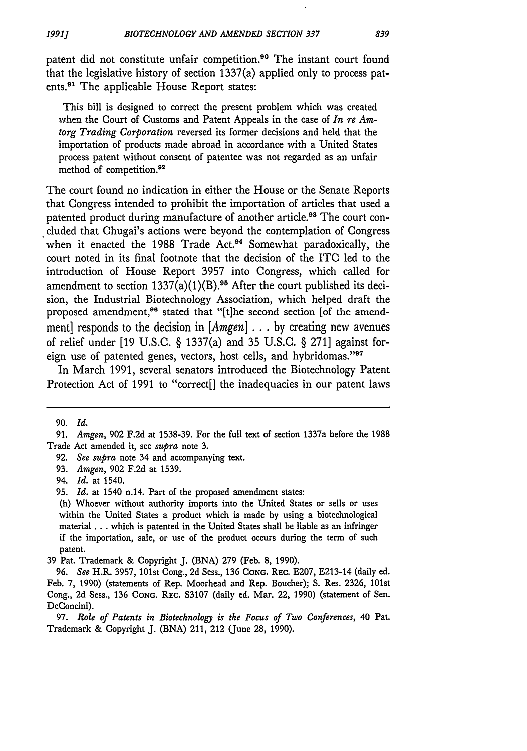patent did not constitute unfair competition.<sup>90</sup> The instant court found that the legislative history of section 1337(a) applied only to process patents.9' The applicable House Report states:

This bill is designed to correct the present problem which was created when the Court of Customs and Patent Appeals in the case of *In re Amtorg Trading Corporation* reversed its former decisions and held that the importation of products made abroad in accordance with a United States process patent without consent of patentee was not regarded as an unfair method of competition.<sup>92</sup>

The court found no indication in either the House or the Senate Reports that Congress intended to prohibit the importation of articles that used a patented product during manufacture of another article.<sup>93</sup> The court concluded that Chugai's actions were beyond the contemplation of Congress when it enacted the 1988 Trade Act.<sup>94</sup> Somewhat paradoxically, the court noted in its final footnote that the decision of the ITC led to the introduction of House Report 3957 into Congress, which called for amendment to section  $1337(a)(1)(B)$ .<sup>95</sup> After the court published its decision, the Industrial Biotechnology Association, which helped draft the proposed amendment,<sup>96</sup> stated that "[t]he second section [of the amendment] responds to the decision in [Amgen] **... by** creating new avenues of relief under [19 U.S.C. § 1337(a) and 35 U.S.C. § 271] against foreign use of patented genes, vectors, host cells, and hybridomas."<sup>97</sup>

In March 1991, several senators introduced the Biotechnology Patent Protection Act of 1991 to "correct[] the inadequacies in our patent laws

<sup>90.</sup> *Id.*

<sup>91.</sup> *Amgen,* 902 F.2d at 1538-39. For the full text of section 1337a before the 1988 Trade Act amended it, see *supra* note 3.

<sup>92.</sup> *See supra* note 34 and accompanying text.

<sup>93.</sup> *Amgen,* 902 F.2d at 1539.

<sup>94.</sup> *Id.* at 1540.

<sup>95.</sup> *Id.* at 1540 n.14. Part of the proposed amendment states:

<sup>(</sup>h) Whoever without authority imports into the United States or sells or uses within the United States a product which is made by using a biotechnological material **...** which is patented in the United States shall be liable as an infringer if the importation, sale, or use of the product occurs during the term of such patent.

<sup>39</sup> Pat. Trademark & Copyright J. (BNA) 279 (Feb. 8, 1990).

<sup>96.</sup> *See* H.R. 3957, 101st Cong., 2d Sess., 136 **CONG.** REC. E207, E213-14 (daily ed. Feb. 7, 1990) (statements of Rep. Moorhead and Rep. Boucher); S. Res. 2326, 101st Cong., 2d Sess., 136 ConG. REC. S3107 (daily ed. Mar. 22, 1990) (statement of Sen. DeConcini).

**<sup>97.</sup>** *Role of Patents in Biotechnology is the Focus of Two Conferences,* 40 Pat. Trademark & Copyright J. (BNA) 211, 212 (June 28, 1990).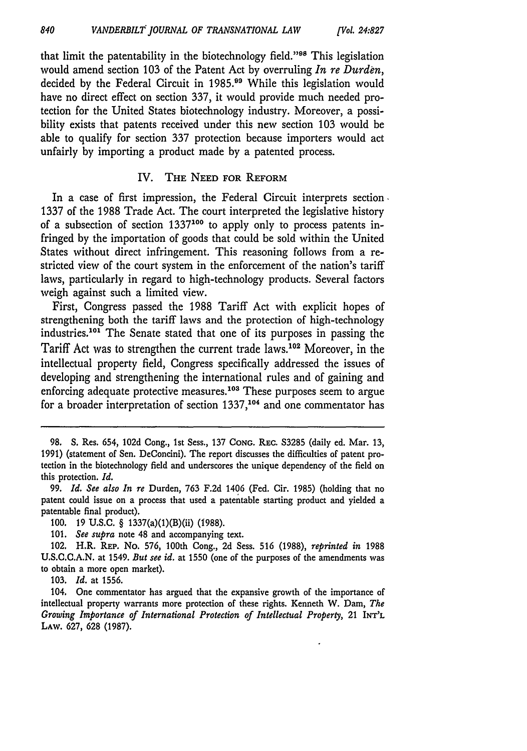that limit the patentability in the biotechnology field."<sup>98</sup> This legislation would amend section 103 of the Patent Act by overruling *In re Durden,* decided by the Federal Circuit in 1985.<sup>99</sup> While this legislation would have no direct effect on section 337, it would provide much needed protection for the United States biotechnology industry. Moreover, a possibility exists that patents received under this new section 103 would be able to qualify for section 337 protection because importers would act unfairly by importing a product made by a patented process.

#### IV. **THE NEED FOR REFORM**

In a case of first impression, the Federal Circuit interprets section. 1337 of the 1988 Trade Act. The court interpreted the legislative history of a subsection of section  $1337^{100}$  to apply only to process patents infringed by the importation of goods that could be sold within the United States without direct infringement. This reasoning follows from a restricted view of the court system in the enforcement of the nation's tariff laws, particularly in regard to high-technology products. Several factors weigh against such a limited view.

First, Congress passed the 1988 Tariff Act with explicit hopes of strengthening both the tariff laws and the protection of high-technology industries.<sup>101</sup> The Senate stated that one of its purposes in passing the Tariff Act was to strengthen the current trade laws.<sup>102</sup> Moreover, in the intellectual property field, Congress specifically addressed the issues of developing and strengthening the international rules and of gaining and enforcing adequate protective measures.<sup>103</sup> These purposes seem to argue for a broader interpretation of section 1337,<sup>104</sup> and one commentator has

103. *Id.* at 1556.

104. One commentator has argued that the expansive growth of the importance of intellectual property warrants more protection of these rights. Kenneth W. Dam, *The Growing Importance of International Protection of Intellectual Property,* 21 **INT'L** LAW. **627, 628 (1987).**

**<sup>98.</sup> S.** Res. 654, **102d** Cong., 1st Sess., 137 **CONG. REC. S3285** (daily ed. Mar. 13, 1991) (statement of Sen. DeConcini). The report discusses the difficulties of patent protection in the biotechnology field and underscores the unique dependency of the field on this protection. *Id.*

<sup>99.</sup> *Id. See also In re* Durden, 763 F.2d 1406 (Fed. Cir. 1985) (holding that no patent could issue on a process that used a patentable starting product and yielded a patentable final product).

<sup>100. 19</sup> **U.S.C.** § 1337(a)(1)(B)(ii) (1988).

<sup>101.</sup> *See supra* note 48 and accompanying text.

<sup>102.</sup> H.R. REP. No. **576,** 100th Cong., 2d Sess. 516 (1988), *reprinted in* 1988 U.S.C.C.A.N. at 1549. *But see id.* at 1550 (one of the purposes of the amendments was to obtain a more open market).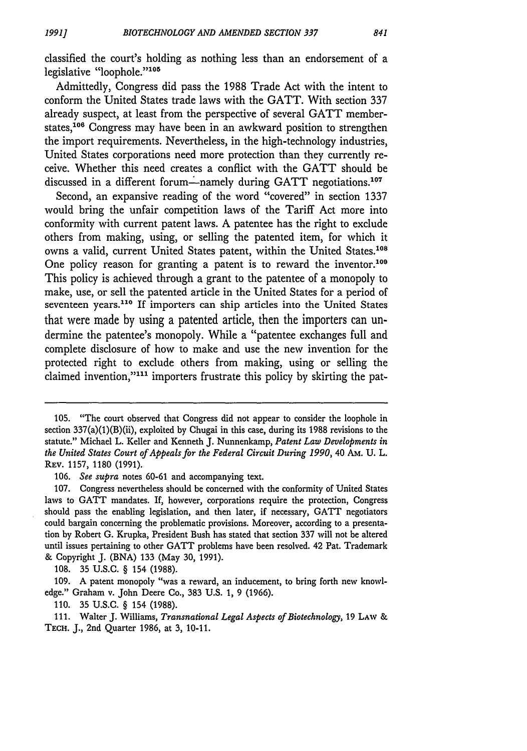classified the court's holding as nothing less than an endorsement of a legislative "loophole."<sup>105</sup>

Admittedly, Congress did pass the 1988 Trade Act with the intent to conform the United States trade laws with the GATT. With section 337 already suspect, at least from the perspective of several GATT memberstates,<sup>106</sup> Congress may have been in an awkward position to strengthen the import requirements. Nevertheless, in the high-technology industries, United States corporations need more protection than they currently receive. Whether this need creates a conflict with the GATT should be discussed in a different forum—namely during GATT negotiations.<sup>107</sup>

Second, an expansive reading of the word "covered" in section 1337 would bring the unfair competition laws of the Tariff Act more into conformity with current patent laws. A patentee has the right to exclude others from making, using, or selling the patented item, for which it owns a valid, current United States patent, within the United States.<sup>108</sup> One policy reason for granting a patent is to reward the inventor.<sup>109</sup> This policy is achieved through a grant to the patentee of a monopoly to make, use, or sell the patented article in the United States for a period of seventeen years.<sup>110</sup> If importers can ship articles into the United States that were made **by** using a patented article, then the importers can undermine the patentee's monopoly. While a "patentee exchanges full and complete disclosure of how to make and use the new invention for the protected right to exclude others from making, using or selling the claimed invention,"<sup>111</sup> importers frustrate this policy by skirting the pat-

**110. 35 U.S.C. §** 154 **(1988).**

<sup>105. &</sup>quot;The court observed that Congress did not appear to consider the loophole in section 337(a)(1)(B)(ii), exploited by Chugai in this case, during its 1988 revisions to the statute." Michael L. Keller and Kenneth J. Nunnenkamp, *Patent Law Developments in the United States Court of Appeals for the Federal Circuit During 1990, 40 Am. U. L.* REv. 1157, 1180 (1991).

<sup>106.</sup> *See supra* notes 60-61 and accompanying text.

<sup>107.</sup> Congress nevertheless should be concerned with the conformity of United States laws to GATT mandates. If, however, corporations require the protection, Congress should pass the enabling legislation, and then later, if necessary, GATT negotiators could bargain concerning the problematic provisions. Moreover, according to a presentation by Robert G. Krupka, President Bush has stated that section 337 will not be altered until issues pertaining to other GATT problems have been resolved. 42 Pat. Trademark & Copyright J. (BNA) 133 (May 30, 1991).

<sup>108. 35</sup> U.S.C. § 154 (1988).

<sup>109.</sup> A patent monopoly "was a reward, an inducement, to bring forth new knowledge." Graham v. John Deere Co., 383 U.S. 1, 9 (1966).

<sup>111.</sup> Walter J. Williams, *Transnational Legal Aspects of Biotechnology,* 19 LAw & TEcH. J., 2nd Quarter 1986, at 3, 10-11.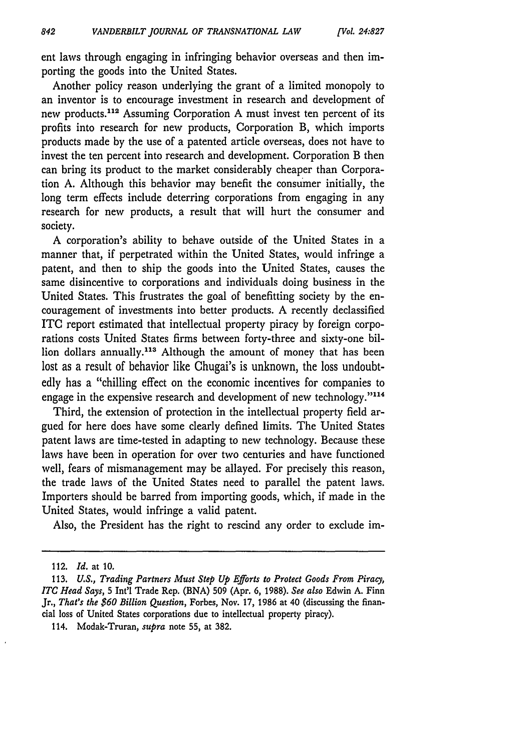ent laws through engaging in infringing behavior overseas and then importing the goods into the United States.

Another policy reason underlying the grant of a limited monopoly to an inventor is to encourage investment in research and development of new products.<sup>112</sup> Assuming Corporation A must invest ten percent of its profits into research for new products, Corporation B, which imports products made by the use of a patented article overseas, does not have to invest the ten percent into research and development. Corporation B then can bring its product to the market considerably cheaper than Corporation A. Although this behavior may benefit the consumer initially, the long term effects include deterring corporations from engaging in any research for new products, a result that will hurt the consumer and society.

A corporation's ability to behave outside of the United States in a manner that, if perpetrated within the United States, would infringe a patent, and then to ship the goods into the United States, causes the same disincentive to corporations and individuals doing business in the United States. This frustrates the goal of benefitting society by the encouragement of investments into better products. A recently declassified ITC report estimated that intellectual property piracy by foreign corporations costs United States firms between forty-three and sixty-one billion dollars annually.<sup>113</sup> Although the amount of money that has been lost as a result of behavior like Chugai's is unknown, the loss undoubtedly has a "chilling effect on the economic incentives for companies to engage in the expensive research and development of new technology."114

Third, the extension of protection in the intellectual property field argued for here does have some clearly defined limits. The United States patent laws are time-tested in adapting to new technology. Because these laws have been in operation for over two centuries and have functioned well, fears of mismanagement may be allayed. For precisely this reason, the trade laws of the United States need to parallel the patent laws. Importers should be barred from importing goods, which, if made in the United States, would infringe a valid patent.

Also, the President has the right to rescind any order to exclude im-

<sup>112.</sup> *Id.* at **10.**

<sup>113.</sup> *U.S., Trading Partners Must Step* **Up** *Efforts to Protect Goods From Piracy,* ITC *Head Says,* 5 Int'l Trade Rep. (BNA) 509 (Apr. 6, 1988). *See also* Edwin A. Finn Jr., *That's the \$60 Billion Question,* Forbes, Nov. 17, 1986 at 40 (discussing the financial loss of United States corporations due to intellectual property piracy).

<sup>114.</sup> Modak-Truran, *supra* note **55,** at **382.**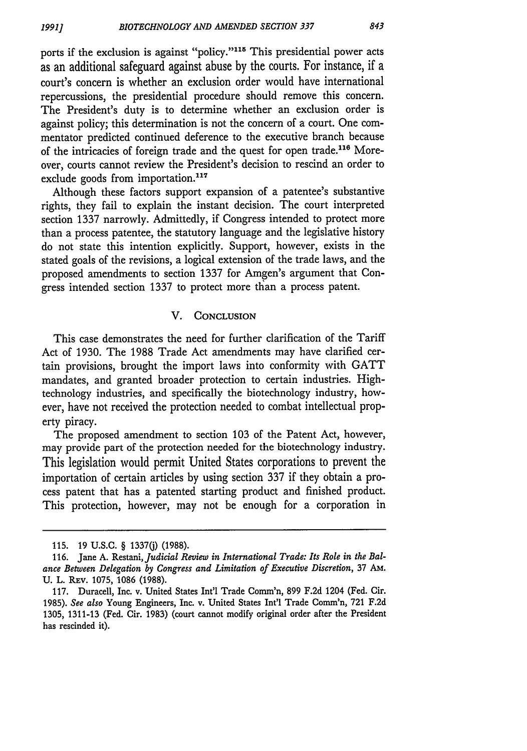ports if the exclusion is against "policy."<sup>115</sup> This presidential power acts as an additional safeguard against abuse **by** the courts. For instance, if a court's concern is whether an exclusion order would have international repercussions, the presidential procedure should remove this concern. The President's duty is to determine whether an exclusion order is against policy; this determination is not the concern of a court. One commentator predicted continued deference to the executive branch because of the intricacies of foreign trade and the quest for open trade.<sup>116</sup> Moreover, courts cannot review the President's decision to rescind an order to exclude goods from importation.<sup>117</sup>

Although these factors support expansion of a patentee's substantive rights, they fail to explain the instant decision. The court interpreted section 1337 narrowly. Admittedly, if Congress intended to protect more than a process patentee, the statutory language and the legislative history do not state this intention explicitly. Support, however, exists in the stated goals of the revisions, a logical extension of the trade laws, and the proposed amendments to section 1337 for Amgen's argument that Congress intended section 1337 to protect more than a process patent.

#### V. **CONCLUSION**

This case demonstrates the need for further clarification of the Tariff Act of 1930. The 1988 Trade Act amendments may have clarified certain provisions, brought the import laws into conformity with GATT mandates, and granted broader protection to certain industries. Hightechnology industries, and specifically the biotechnology industry, however, have not received the protection needed to combat intellectual property piracy.

The proposed amendment to section 103 of the Patent Act, however, may provide part of the protection needed for the biotechnology industry. This legislation would permit United States corporations to prevent the importation of certain articles by using section 337 if they obtain a process patent that has a patented starting product and finished product. This protection, however, may not be enough for a corporation in

**<sup>115. 19</sup> U.S.C.** § **13370) (1988).**

**<sup>116.</sup>** Jane **A.** Restani, *Judicial Review in International Trade: Its Role in the Balance Between Delegation by Congress and Limitation of Executive Discretion,* 37 AM. U. L. REV. 1075, 1086 (1988).

<sup>117.</sup> Duracell, Inc. v. United States Int'l Trade Comm'n, 899 F.2d 1204 (Fed. Cir. 1985). *See also* Young Engineers, Inc. v. United States Int'l Trade Comm'n, 721 F.2d 1305, 1311-13 (Fed. Cir. 1983) (court cannot modify original order after the President has rescinded it).